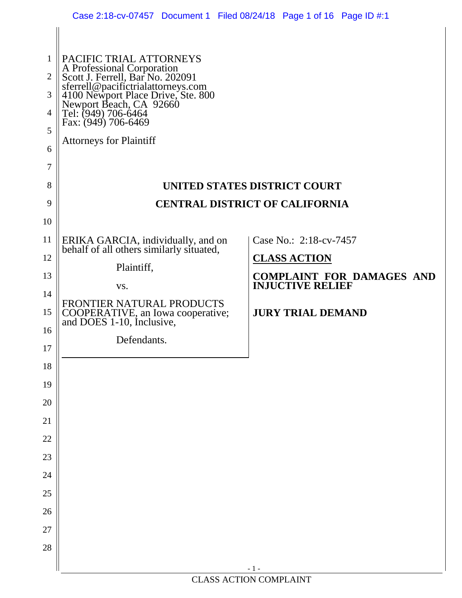|                                                         | Case 2:18-cv-07457 Document 1 Filed 08/24/18 Page 1 of 16 Page ID #:1                                                                                                                                                                                                                                                |                                                             |  |
|---------------------------------------------------------|----------------------------------------------------------------------------------------------------------------------------------------------------------------------------------------------------------------------------------------------------------------------------------------------------------------------|-------------------------------------------------------------|--|
| $\mathbf{1}$<br>$\overline{2}$<br>3<br>4<br>5<br>6<br>7 | PACIFIC TRIAL ATTORNEYS<br>A Professional Corporation<br>Scott J. Ferrell, Bar No. 202091<br>scott 3.1 crien, Bar 1vo. 202071<br>sferrell@pacifictrialattorneys.com<br>4100 Newport Place Drive, Ste. 800<br>Newport Beach, CA 92660<br>Tel: (949) 706-6464<br>Fax: (949) 706-6469<br><b>Attorneys for Plaintiff</b> |                                                             |  |
| 8                                                       | UNITED STATES DISTRICT COURT                                                                                                                                                                                                                                                                                         |                                                             |  |
| 9                                                       | <b>CENTRAL DISTRICT OF CALIFORNIA</b>                                                                                                                                                                                                                                                                                |                                                             |  |
| 10                                                      |                                                                                                                                                                                                                                                                                                                      |                                                             |  |
| 11                                                      | ERIKA GARCIA, individually, and on<br>behalf of all others similarly situated,                                                                                                                                                                                                                                       | Case No.: 2:18-cv-7457                                      |  |
| 12                                                      | Plaintiff,                                                                                                                                                                                                                                                                                                           | <b>CLASS ACTION</b>                                         |  |
| 13                                                      | VS.                                                                                                                                                                                                                                                                                                                  | <b>COMPLAINT FOR DAMAGES AND</b><br><b>INJUCTIVE RELIEF</b> |  |
| 14                                                      | FRONTIER NATURAL PRODUCTS                                                                                                                                                                                                                                                                                            |                                                             |  |
| 15                                                      | COOPERATIVE, an Iowa cooperative;<br>and DOES 1-10, Inclusive,                                                                                                                                                                                                                                                       | <b>JURY TRIAL DEMAND</b>                                    |  |
| 16                                                      | Defendants.                                                                                                                                                                                                                                                                                                          |                                                             |  |
| 17                                                      |                                                                                                                                                                                                                                                                                                                      |                                                             |  |
| 18<br>19                                                |                                                                                                                                                                                                                                                                                                                      |                                                             |  |
| $20\,$                                                  |                                                                                                                                                                                                                                                                                                                      |                                                             |  |
| 21                                                      |                                                                                                                                                                                                                                                                                                                      |                                                             |  |
| 22                                                      |                                                                                                                                                                                                                                                                                                                      |                                                             |  |
| 23                                                      |                                                                                                                                                                                                                                                                                                                      |                                                             |  |
| 24                                                      |                                                                                                                                                                                                                                                                                                                      |                                                             |  |
| 25                                                      |                                                                                                                                                                                                                                                                                                                      |                                                             |  |
| 26                                                      |                                                                                                                                                                                                                                                                                                                      |                                                             |  |
| $27\,$                                                  |                                                                                                                                                                                                                                                                                                                      |                                                             |  |
| 28                                                      |                                                                                                                                                                                                                                                                                                                      |                                                             |  |
|                                                         |                                                                                                                                                                                                                                                                                                                      | $-1-$                                                       |  |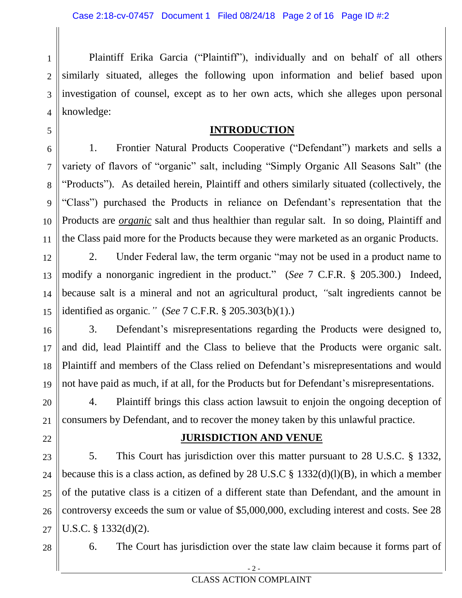1 2 3 4 Plaintiff Erika Garcia ("Plaintiff"), individually and on behalf of all others similarly situated, alleges the following upon information and belief based upon investigation of counsel, except as to her own acts, which she alleges upon personal knowledge:

#### **INTRODUCTION**

1. Frontier Natural Products Cooperative ("Defendant") markets and sells a variety of flavors of "organic" salt, including "Simply Organic All Seasons Salt" (the "Products"). As detailed herein, Plaintiff and others similarly situated (collectively, the "Class") purchased the Products in reliance on Defendant's representation that the Products are *organic* salt and thus healthier than regular salt. In so doing, Plaintiff and the Class paid more for the Products because they were marketed as an organic Products.

12 13 14 15 2. Under Federal law, the term organic "may not be used in a product name to modify a nonorganic ingredient in the product." (*See* 7 C.F.R. § 205.300.) Indeed, because salt is a mineral and not an agricultural product, *"*salt ingredients cannot be identified as organic*."* (*See* 7 C.F.R. § 205.303(b)(1).)

16 17 18 19 3. Defendant's misrepresentations regarding the Products were designed to, and did, lead Plaintiff and the Class to believe that the Products were organic salt. Plaintiff and members of the Class relied on Defendant's misrepresentations and would not have paid as much, if at all, for the Products but for Defendant's misrepresentations.

20 21 4. Plaintiff brings this class action lawsuit to enjoin the ongoing deception of consumers by Defendant, and to recover the money taken by this unlawful practice.

#### **JURISDICTION AND VENUE**

23 24 25 26 27 5. This Court has jurisdiction over this matter pursuant to 28 U.S.C. § 1332, because this is a class action, as defined by 28 U.S.C  $\S$  1332(d)(l)(B), in which a member of the putative class is a citizen of a different state than Defendant, and the amount in controversy exceeds the sum or value of \$5,000,000, excluding interest and costs. See 28 U.S.C. § 1332(d)(2).

28

22

5

6

7

8

9

10

11

6. The Court has jurisdiction over the state law claim because it forms part of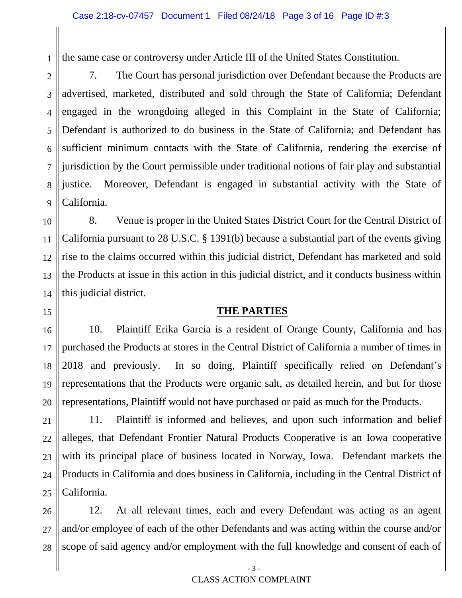the same case or controversy under Article III of the United States Constitution.

1

15

16

17

18

19

20

21

2 3 4 5 6 7 8 9 7. The Court has personal jurisdiction over Defendant because the Products are advertised, marketed, distributed and sold through the State of California; Defendant engaged in the wrongdoing alleged in this Complaint in the State of California; Defendant is authorized to do business in the State of California; and Defendant has sufficient minimum contacts with the State of California, rendering the exercise of jurisdiction by the Court permissible under traditional notions of fair play and substantial justice. Moreover, Defendant is engaged in substantial activity with the State of California.

10 11 12 13 14 8. Venue is proper in the United States District Court for the Central District of California pursuant to 28 U.S.C. § 1391(b) because a substantial part of the events giving rise to the claims occurred within this judicial district, Defendant has marketed and sold the Products at issue in this action in this judicial district, and it conducts business within this judicial district.

### **THE PARTIES**

10. Plaintiff Erika Garcia is a resident of Orange County, California and has purchased the Products at stores in the Central District of California a number of times in 2018 and previously. In so doing, Plaintiff specifically relied on Defendant's representations that the Products were organic salt, as detailed herein, and but for those representations, Plaintiff would not have purchased or paid as much for the Products.

22 23 24 25 11. Plaintiff is informed and believes, and upon such information and belief alleges, that Defendant Frontier Natural Products Cooperative is an Iowa cooperative with its principal place of business located in Norway, Iowa. Defendant markets the Products in California and does business in California, including in the Central District of California.

26 27 28 12. At all relevant times, each and every Defendant was acting as an agent and/or employee of each of the other Defendants and was acting within the course and/or scope of said agency and/or employment with the full knowledge and consent of each of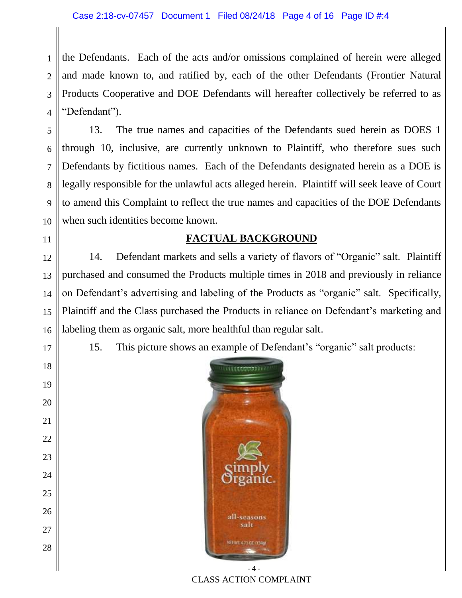1 2 3 4 the Defendants. Each of the acts and/or omissions complained of herein were alleged and made known to, and ratified by, each of the other Defendants (Frontier Natural Products Cooperative and DOE Defendants will hereafter collectively be referred to as "Defendant").

5 6 8 9 10 13. The true names and capacities of the Defendants sued herein as DOES 1 through 10, inclusive, are currently unknown to Plaintiff, who therefore sues such Defendants by fictitious names. Each of the Defendants designated herein as a DOE is legally responsible for the unlawful acts alleged herein. Plaintiff will seek leave of Court to amend this Complaint to reflect the true names and capacities of the DOE Defendants when such identities become known.

#### **FACTUAL BACKGROUND**

12 13 14 15 16 14. Defendant markets and sells a variety of flavors of "Organic" salt. Plaintiff purchased and consumed the Products multiple times in 2018 and previously in reliance on Defendant's advertising and labeling of the Products as "organic" salt. Specifically, Plaintiff and the Class purchased the Products in reliance on Defendant's marketing and labeling them as organic salt, more healthful than regular salt.

17

18

19

20

21

22

23

24

25

26

27

28

7

11

15. This picture shows an example of Defendant's "organic" salt products:



CLASS ACTION COMPLAINT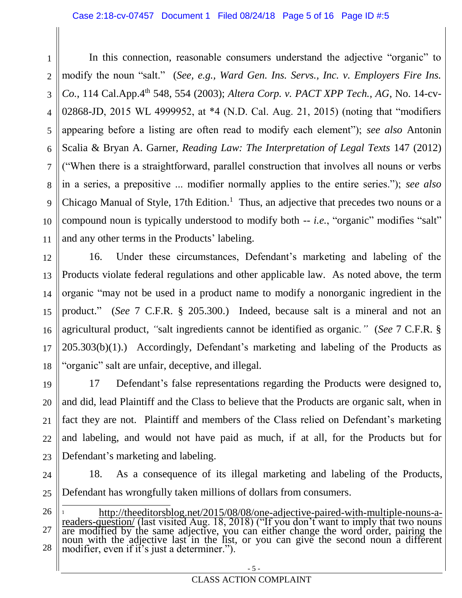1 2 3 4 5 6 7 8 9 10 11 In this connection, reasonable consumers understand the adjective "organic" to modify the noun "salt." (*See, e.g., Ward Gen. Ins. Servs., Inc. v. Employers Fire Ins. Co.*, 114 Cal.App.4<sup>th</sup> 548, 554 (2003); *Altera Corp. v. PACT XPP Tech., AG*, No. 14-cv-02868-JD, 2015 WL 4999952, at \*4 (N.D. Cal. Aug. 21, 2015) (noting that "modifiers appearing before a listing are often read to modify each element"); *see also* Antonin Scalia & Bryan A. Garner, *Reading Law: The Interpretation of Legal Texts* 147 (2012) ("When there is a straightforward, parallel construction that involves all nouns or verbs in a series, a prepositive ... modifier normally applies to the entire series."); *see also* Chicago Manual of Style, 17th Edition.<sup>1</sup> Thus, an adjective that precedes two nouns or a compound noun is typically understood to modify both -- *i.e.*, "organic" modifies "salt" and any other terms in the Products' labeling.

12 13 14 15 16 17 18 16. Under these circumstances, Defendant's marketing and labeling of the Products violate federal regulations and other applicable law. As noted above, the term organic "may not be used in a product name to modify a nonorganic ingredient in the product." (*See* 7 C.F.R. § 205.300.) Indeed, because salt is a mineral and not an agricultural product, *"*salt ingredients cannot be identified as organic*."* (*See* 7 C.F.R. § 205.303(b)(1).) Accordingly, Defendant's marketing and labeling of the Products as "organic" salt are unfair, deceptive, and illegal.

19 20 21 22 23 17 Defendant's false representations regarding the Products were designed to, and did, lead Plaintiff and the Class to believe that the Products are organic salt, when in fact they are not. Plaintiff and members of the Class relied on Defendant's marketing and labeling, and would not have paid as much, if at all, for the Products but for Defendant's marketing and labeling.

24 25 18. As a consequence of its illegal marketing and labeling of the Products, Defendant has wrongfully taken millions of dollars from consumers.

26 27 28 l <sup>1</sup> [http://theeditorsblog.net/2015/08/08/one-adjective-paired-with-multiple-nouns-a](http://theeditorsblog.net/2015/08/08/one-adjective-paired-with-multiple-nouns-a-readers-question/)[readers-question/](http://theeditorsblog.net/2015/08/08/one-adjective-paired-with-multiple-nouns-a-readers-question/) (last visited Aug. 18, 2018) ("If you don't want to imply that two nouns are modified by the same adjective, you can either change the word order, pairing the noun with the adjective last in the list, or you can give the second noun a different modifier, even if it's just a determiner.").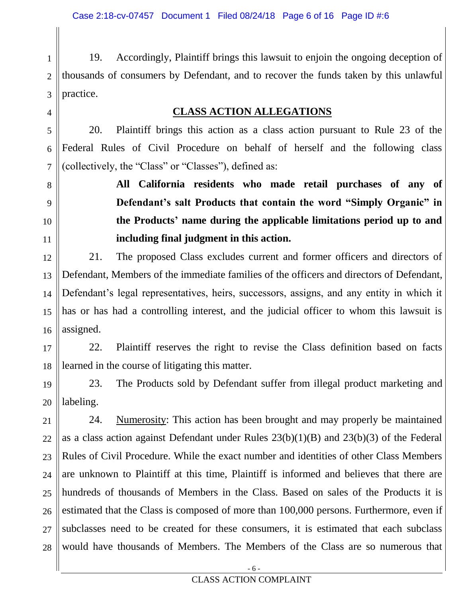4

5

6

7

8

9

10

11

1 2 3 19. Accordingly, Plaintiff brings this lawsuit to enjoin the ongoing deception of thousands of consumers by Defendant, and to recover the funds taken by this unlawful practice.

#### **CLASS ACTION ALLEGATIONS**

20. Plaintiff brings this action as a class action pursuant to Rule 23 of the Federal Rules of Civil Procedure on behalf of herself and the following class (collectively, the "Class" or "Classes"), defined as:

> **All California residents who made retail purchases of any of Defendant's salt Products that contain the word "Simply Organic" in the Products' name during the applicable limitations period up to and including final judgment in this action.**

12 13 14 15 16 21. The proposed Class excludes current and former officers and directors of Defendant, Members of the immediate families of the officers and directors of Defendant, Defendant's legal representatives, heirs, successors, assigns, and any entity in which it has or has had a controlling interest, and the judicial officer to whom this lawsuit is assigned.

17 18 22. Plaintiff reserves the right to revise the Class definition based on facts learned in the course of litigating this matter.

19 20 23. The Products sold by Defendant suffer from illegal product marketing and labeling.

21 22 23 24 25 26 27 28 24. Numerosity: This action has been brought and may properly be maintained as a class action against Defendant under Rules 23(b)(1)(B) and 23(b)(3) of the Federal Rules of Civil Procedure. While the exact number and identities of other Class Members are unknown to Plaintiff at this time, Plaintiff is informed and believes that there are hundreds of thousands of Members in the Class. Based on sales of the Products it is estimated that the Class is composed of more than 100,000 persons. Furthermore, even if subclasses need to be created for these consumers, it is estimated that each subclass would have thousands of Members. The Members of the Class are so numerous that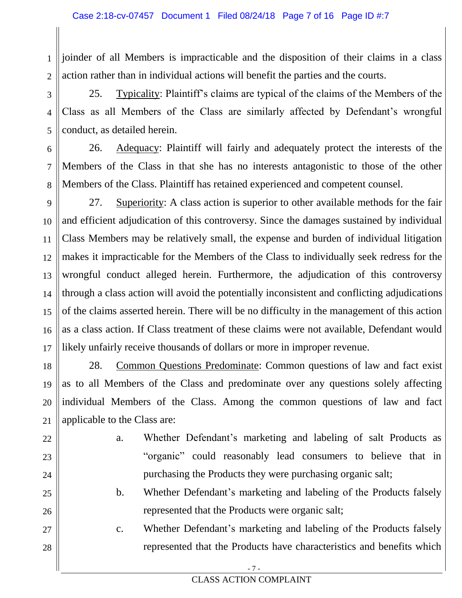1 2 joinder of all Members is impracticable and the disposition of their claims in a class action rather than in individual actions will benefit the parties and the courts.

3 4 5 25. Typicality: Plaintiff's claims are typical of the claims of the Members of the Class as all Members of the Class are similarly affected by Defendant's wrongful conduct, as detailed herein.

6 7 8 26. Adequacy: Plaintiff will fairly and adequately protect the interests of the Members of the Class in that she has no interests antagonistic to those of the other Members of the Class. Plaintiff has retained experienced and competent counsel.

9 10 11 12 13 14 15 16 17 27. Superiority: A class action is superior to other available methods for the fair and efficient adjudication of this controversy. Since the damages sustained by individual Class Members may be relatively small, the expense and burden of individual litigation makes it impracticable for the Members of the Class to individually seek redress for the wrongful conduct alleged herein. Furthermore, the adjudication of this controversy through a class action will avoid the potentially inconsistent and conflicting adjudications of the claims asserted herein. There will be no difficulty in the management of this action as a class action. If Class treatment of these claims were not available, Defendant would likely unfairly receive thousands of dollars or more in improper revenue.

18 19 20 21 28. Common Questions Predominate: Common questions of law and fact exist as to all Members of the Class and predominate over any questions solely affecting individual Members of the Class. Among the common questions of law and fact applicable to the Class are:

22 23

24

25

26

27

28

- a. Whether Defendant's marketing and labeling of salt Products as "organic" could reasonably lead consumers to believe that in purchasing the Products they were purchasing organic salt;
- b. Whether Defendant's marketing and labeling of the Products falsely represented that the Products were organic salt;
- c. Whether Defendant's marketing and labeling of the Products falsely represented that the Products have characteristics and benefits which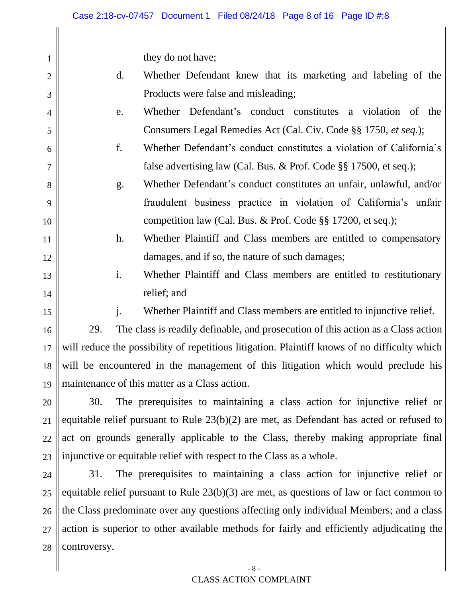they do not have;

- d. Whether Defendant knew that its marketing and labeling of the Products were false and misleading;
- e. Whether Defendant's conduct constitutes a violation of the Consumers Legal Remedies Act (Cal. Civ. Code §§ 1750, *et seq.*);
- f. Whether Defendant's conduct constitutes a violation of California's false advertising law (Cal. Bus. & Prof. Code §§ 17500, et seq.);
- g. Whether Defendant's conduct constitutes an unfair, unlawful, and/or fraudulent business practice in violation of California's unfair competition law (Cal. Bus. & Prof. Code §§ 17200, et seq.);
- h. Whether Plaintiff and Class members are entitled to compensatory damages, and if so, the nature of such damages;
- i. Whether Plaintiff and Class members are entitled to restitutionary relief; and

14 15

16

17

18

19

1

2

3

4

5

6

7

8

9

10

11

12

13

j. Whether Plaintiff and Class members are entitled to injunctive relief.

29. The class is readily definable, and prosecution of this action as a Class action will reduce the possibility of repetitious litigation. Plaintiff knows of no difficulty which will be encountered in the management of this litigation which would preclude his maintenance of this matter as a Class action.

20 21 22 23 30. The prerequisites to maintaining a class action for injunctive relief or equitable relief pursuant to Rule 23(b)(2) are met, as Defendant has acted or refused to act on grounds generally applicable to the Class, thereby making appropriate final injunctive or equitable relief with respect to the Class as a whole.

24 25 26 27 28 31. The prerequisites to maintaining a class action for injunctive relief or equitable relief pursuant to Rule 23(b)(3) are met, as questions of law or fact common to the Class predominate over any questions affecting only individual Members; and a class action is superior to other available methods for fairly and efficiently adjudicating the controversy.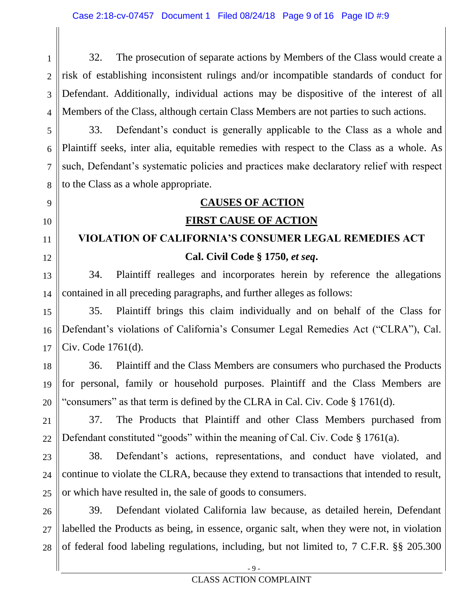1 2 3 4 32. The prosecution of separate actions by Members of the Class would create a risk of establishing inconsistent rulings and/or incompatible standards of conduct for Defendant. Additionally, individual actions may be dispositive of the interest of all Members of the Class, although certain Class Members are not parties to such actions.

5 6 7 8 33. Defendant's conduct is generally applicable to the Class as a whole and Plaintiff seeks, inter alia, equitable remedies with respect to the Class as a whole. As such, Defendant's systematic policies and practices make declaratory relief with respect to the Class as a whole appropriate.

# **CAUSES OF ACTION**

9

10

11

12

13

14

17

18

19

20

21

22

## **FIRST CAUSE OF ACTION**

## **VIOLATION OF CALIFORNIA'S CONSUMER LEGAL REMEDIES ACT Cal. Civil Code § 1750,** *et seq***.**

34. Plaintiff realleges and incorporates herein by reference the allegations contained in all preceding paragraphs, and further alleges as follows:

15 16 35. Plaintiff brings this claim individually and on behalf of the Class for Defendant's violations of California's Consumer Legal Remedies Act ("CLRA"), Cal. Civ. Code 1761(d).

36. Plaintiff and the Class Members are consumers who purchased the Products for personal, family or household purposes. Plaintiff and the Class Members are "consumers" as that term is defined by the CLRA in Cal. Civ. Code § 1761(d).

37. The Products that Plaintiff and other Class Members purchased from Defendant constituted "goods" within the meaning of Cal. Civ. Code § 1761(a).

23 24 25 38. Defendant's actions, representations, and conduct have violated, and continue to violate the CLRA, because they extend to transactions that intended to result, or which have resulted in, the sale of goods to consumers.

26 27 28 39. Defendant violated California law because, as detailed herein, Defendant labelled the Products as being, in essence, organic salt, when they were not, in violation of federal food labeling regulations, including, but not limited to, 7 C.F.R. §§ 205.300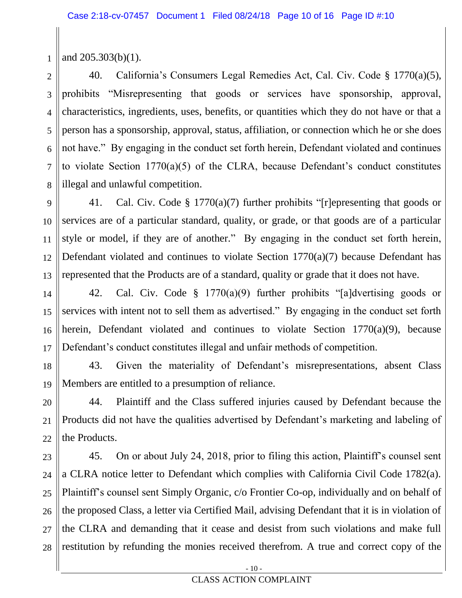1 and 205.303(b)(1).

2 3 4 5 6 7 8 40. California's Consumers Legal Remedies Act, Cal. Civ. Code § 1770(a)(5), prohibits "Misrepresenting that goods or services have sponsorship, approval, characteristics, ingredients, uses, benefits, or quantities which they do not have or that a person has a sponsorship, approval, status, affiliation, or connection which he or she does not have." By engaging in the conduct set forth herein, Defendant violated and continues to violate Section 1770(a)(5) of the CLRA, because Defendant's conduct constitutes illegal and unlawful competition.

9 10 11 12 13 41. Cal. Civ. Code § 1770(a)(7) further prohibits "[r]epresenting that goods or services are of a particular standard, quality, or grade, or that goods are of a particular style or model, if they are of another." By engaging in the conduct set forth herein, Defendant violated and continues to violate Section 1770(a)(7) because Defendant has represented that the Products are of a standard, quality or grade that it does not have.

14 15 16 17 42. Cal. Civ. Code § 1770(a)(9) further prohibits "[a]dvertising goods or services with intent not to sell them as advertised." By engaging in the conduct set forth herein, Defendant violated and continues to violate Section 1770(a)(9), because Defendant's conduct constitutes illegal and unfair methods of competition.

18 19 43. Given the materiality of Defendant's misrepresentations, absent Class Members are entitled to a presumption of reliance.

20 21 22 44. Plaintiff and the Class suffered injuries caused by Defendant because the Products did not have the qualities advertised by Defendant's marketing and labeling of the Products.

23 24 25 26 27 28 45. On or about July 24, 2018, prior to filing this action, Plaintiff's counsel sent a CLRA notice letter to Defendant which complies with California Civil Code 1782(a). Plaintiff's counsel sent Simply Organic, c/o Frontier Co-op, individually and on behalf of the proposed Class, a letter via Certified Mail, advising Defendant that it is in violation of the CLRA and demanding that it cease and desist from such violations and make full restitution by refunding the monies received therefrom. A true and correct copy of the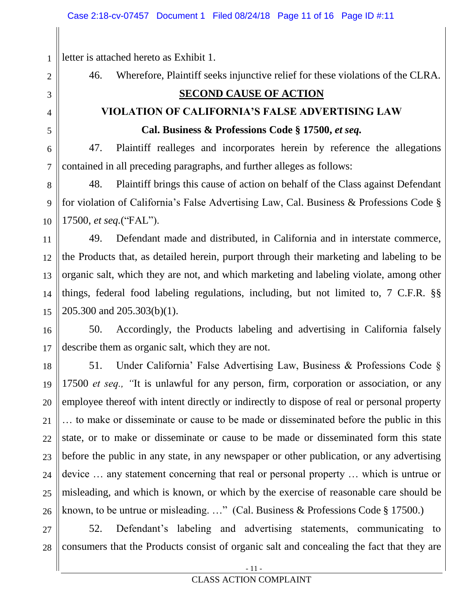letter is attached hereto as Exhibit 1.

1

2

3

4

5

6

7

46. Wherefore, Plaintiff seeks injunctive relief for these violations of the CLRA.

### **SECOND CAUSE OF ACTION**

## **VIOLATION OF CALIFORNIA'S FALSE ADVERTISING LAW Cal. Business & Professions Code § 17500,** *et seq.*

47. Plaintiff realleges and incorporates herein by reference the allegations contained in all preceding paragraphs, and further alleges as follows:

8 9 10 48. Plaintiff brings this cause of action on behalf of the Class against Defendant for violation of California's False Advertising Law, Cal. Business & Professions Code § 17500, *et seq.*("FAL").

11 12 13 14 15 49. Defendant made and distributed, in California and in interstate commerce, the Products that, as detailed herein, purport through their marketing and labeling to be organic salt, which they are not, and which marketing and labeling violate, among other things, federal food labeling regulations, including, but not limited to, 7 C.F.R. §§ 205.300 and 205.303(b)(1).

16 17 50. Accordingly, the Products labeling and advertising in California falsely describe them as organic salt, which they are not.

18 19 20 21 22 23 24 25 26 51. Under California' False Advertising Law, Business & Professions Code § 17500 *et seq., "*It is unlawful for any person, firm, corporation or association, or any employee thereof with intent directly or indirectly to dispose of real or personal property … to make or disseminate or cause to be made or disseminated before the public in this state, or to make or disseminate or cause to be made or disseminated form this state before the public in any state, in any newspaper or other publication, or any advertising device … any statement concerning that real or personal property … which is untrue or misleading, and which is known, or which by the exercise of reasonable care should be known, to be untrue or misleading. …" (Cal. Business & Professions Code § 17500.)

27 28 52. Defendant's labeling and advertising statements, communicating to consumers that the Products consist of organic salt and concealing the fact that they are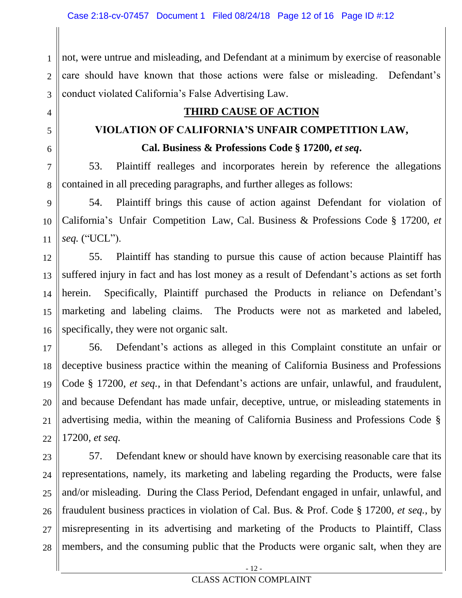4

5

6

7

9

10

11

1 2 3 not, were untrue and misleading, and Defendant at a minimum by exercise of reasonable care should have known that those actions were false or misleading. Defendant's conduct violated California's False Advertising Law.

### **THIRD CAUSE OF ACTION**

## **VIOLATION OF CALIFORNIA'S UNFAIR COMPETITION LAW,**

**Cal. Business & Professions Code § 17200,** *et seq***.**

8 53. Plaintiff realleges and incorporates herein by reference the allegations contained in all preceding paragraphs, and further alleges as follows:

54. Plaintiff brings this cause of action against Defendant for violation of California's Unfair Competition Law, Cal. Business & Professions Code § 17200, *et seq.* ("UCL").

12 13 14 15 16 55. Plaintiff has standing to pursue this cause of action because Plaintiff has suffered injury in fact and has lost money as a result of Defendant's actions as set forth herein. Specifically, Plaintiff purchased the Products in reliance on Defendant's marketing and labeling claims. The Products were not as marketed and labeled, specifically, they were not organic salt.

17 18 19 20 21 22 56. Defendant's actions as alleged in this Complaint constitute an unfair or deceptive business practice within the meaning of California Business and Professions Code § 17200, *et seq.*, in that Defendant's actions are unfair, unlawful, and fraudulent, and because Defendant has made unfair, deceptive, untrue, or misleading statements in advertising media, within the meaning of California Business and Professions Code § 17200, *et seq.*

23 24 25 26 27 28 57. Defendant knew or should have known by exercising reasonable care that its representations, namely, its marketing and labeling regarding the Products, were false and/or misleading. During the Class Period, Defendant engaged in unfair, unlawful, and fraudulent business practices in violation of Cal. Bus. & Prof. Code § 17200, *et seq.*, by misrepresenting in its advertising and marketing of the Products to Plaintiff, Class members, and the consuming public that the Products were organic salt, when they are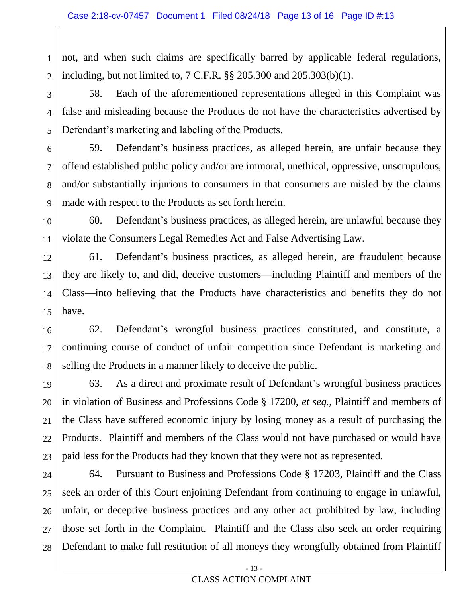1 2 not, and when such claims are specifically barred by applicable federal regulations, including, but not limited to, 7 C.F.R. §§ 205.300 and 205.303(b)(1).

3 4 5 58. Each of the aforementioned representations alleged in this Complaint was false and misleading because the Products do not have the characteristics advertised by Defendant's marketing and labeling of the Products.

6 7 8 9 59. Defendant's business practices, as alleged herein, are unfair because they offend established public policy and/or are immoral, unethical, oppressive, unscrupulous, and/or substantially injurious to consumers in that consumers are misled by the claims made with respect to the Products as set forth herein.

60. Defendant's business practices, as alleged herein, are unlawful because they violate the Consumers Legal Remedies Act and False Advertising Law.

10

11

12 13 14 15 61. Defendant's business practices, as alleged herein, are fraudulent because they are likely to, and did, deceive customers—including Plaintiff and members of the Class—into believing that the Products have characteristics and benefits they do not have.

16 17 18 62. Defendant's wrongful business practices constituted, and constitute, a continuing course of conduct of unfair competition since Defendant is marketing and selling the Products in a manner likely to deceive the public.

19 20 21 22 23 63. As a direct and proximate result of Defendant's wrongful business practices in violation of Business and Professions Code § 17200, *et seq.*, Plaintiff and members of the Class have suffered economic injury by losing money as a result of purchasing the Products. Plaintiff and members of the Class would not have purchased or would have paid less for the Products had they known that they were not as represented.

24 25 26 27 28 64. Pursuant to Business and Professions Code § 17203, Plaintiff and the Class seek an order of this Court enjoining Defendant from continuing to engage in unlawful, unfair, or deceptive business practices and any other act prohibited by law, including those set forth in the Complaint. Plaintiff and the Class also seek an order requiring Defendant to make full restitution of all moneys they wrongfully obtained from Plaintiff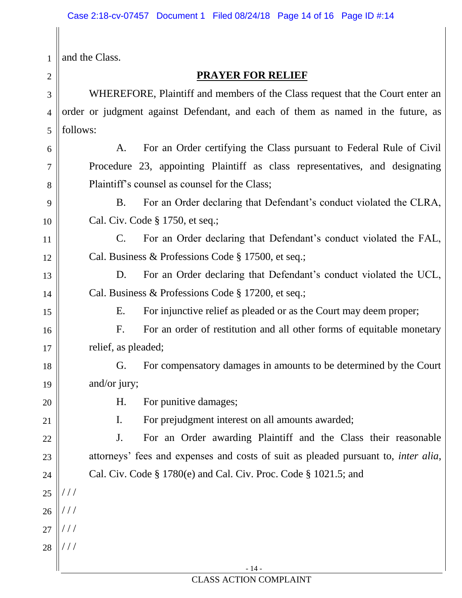| $\mathbf{1}$   | and the Class.                                                                             |  |  |
|----------------|--------------------------------------------------------------------------------------------|--|--|
| 2              | <b>PRAYER FOR RELIEF</b>                                                                   |  |  |
| 3              | WHEREFORE, Plaintiff and members of the Class request that the Court enter an              |  |  |
| $\overline{4}$ | order or judgment against Defendant, and each of them as named in the future, as           |  |  |
| 5              | follows:                                                                                   |  |  |
| 6              | For an Order certifying the Class pursuant to Federal Rule of Civil<br>A.                  |  |  |
| 7              | Procedure 23, appointing Plaintiff as class representatives, and designating               |  |  |
| 8              | Plaintiff's counsel as counsel for the Class;                                              |  |  |
| 9              | For an Order declaring that Defendant's conduct violated the CLRA,<br><b>B.</b>            |  |  |
| 10             | Cal. Civ. Code § 1750, et seq.;                                                            |  |  |
| 11             | For an Order declaring that Defendant's conduct violated the FAL,<br>$\mathbf{C}$ .        |  |  |
| 12             | Cal. Business & Professions Code § 17500, et seq.;                                         |  |  |
| 13             | For an Order declaring that Defendant's conduct violated the UCL,<br>D.                    |  |  |
| 14             | Cal. Business & Professions Code § 17200, et seq.;                                         |  |  |
| 15             | For injunctive relief as pleaded or as the Court may deem proper;<br>Ε.                    |  |  |
| 16             | For an order of restitution and all other forms of equitable monetary<br>F <sub>1</sub>    |  |  |
| 17             | relief, as pleaded;                                                                        |  |  |
| 18             | G. For compensatory damages in amounts to be determined by the Court                       |  |  |
| 19             | and/or jury;                                                                               |  |  |
| 20             | For punitive damages;<br>Η.                                                                |  |  |
| 21             | For prejudgment interest on all amounts awarded;<br>I.                                     |  |  |
| 22             | For an Order awarding Plaintiff and the Class their reasonable<br>J.                       |  |  |
| 23             | attorneys' fees and expenses and costs of suit as pleaded pursuant to, <i>inter alia</i> , |  |  |
| 24             | Cal. Civ. Code § 1780(e) and Cal. Civ. Proc. Code § 1021.5; and                            |  |  |
| 25             | //                                                                                         |  |  |
| 26             | //                                                                                         |  |  |
| 27             | //                                                                                         |  |  |
| 28             | //                                                                                         |  |  |
|                | $-14-$                                                                                     |  |  |

- 14 - CLASS ACTION COMPLAINT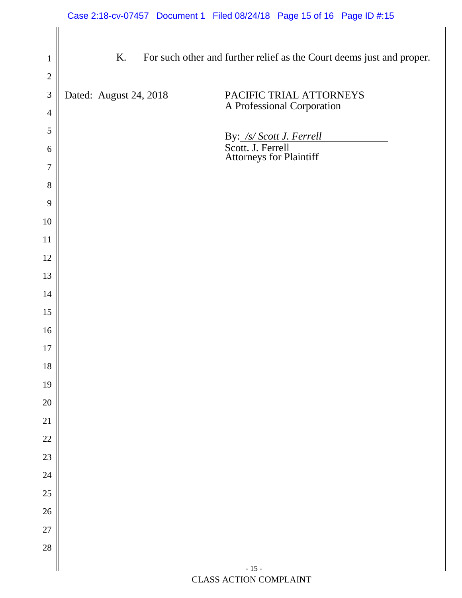| $\mathbf{1}$   | K.                     | For such other and further relief as the Court deems just and proper.    |
|----------------|------------------------|--------------------------------------------------------------------------|
| $\overline{2}$ |                        |                                                                          |
| $\mathfrak{Z}$ | Dated: August 24, 2018 | PACIFIC TRIAL ATTORNEYS<br>A Professional Corporation                    |
| $\overline{4}$ |                        |                                                                          |
| 5              |                        |                                                                          |
| 6              |                        | By: /s/ Scott J. Ferrell<br>Scott. J. Ferrell<br>Attorneys for Plaintiff |
| 7              |                        |                                                                          |
| 8<br>9         |                        |                                                                          |
| 10             |                        |                                                                          |
| 11             |                        |                                                                          |
| 12             |                        |                                                                          |
| 13             |                        |                                                                          |
| 14             |                        |                                                                          |
| 15             |                        |                                                                          |
| 16             |                        |                                                                          |
| 17             |                        |                                                                          |
| 18             |                        |                                                                          |
| 19             |                        |                                                                          |
| $20\,$         |                        |                                                                          |
| 21             |                        |                                                                          |
| 22             |                        |                                                                          |
| 23             |                        |                                                                          |
| 24             |                        |                                                                          |
| 25             |                        |                                                                          |
| 26             |                        |                                                                          |
| 27             |                        |                                                                          |
| 28             |                        |                                                                          |
|                |                        | $-15-$                                                                   |